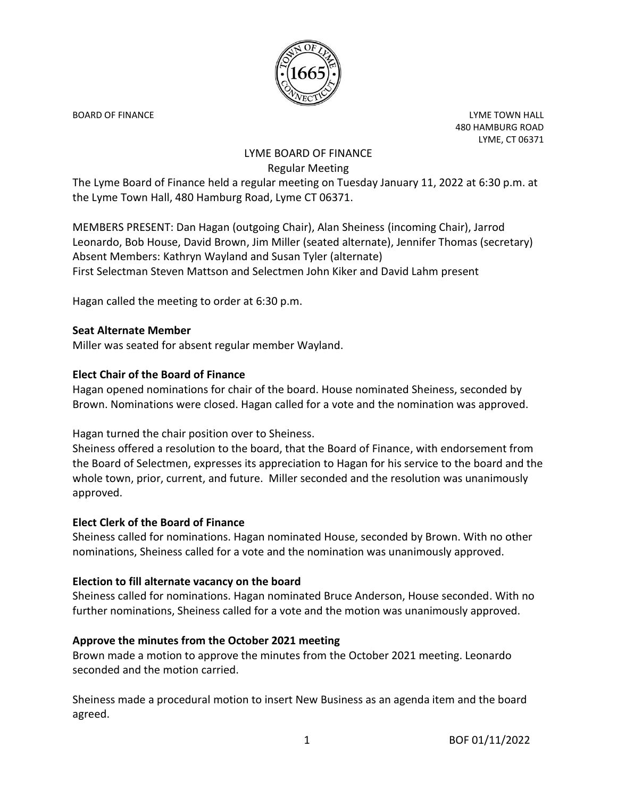

BOARD OF FINANCE **Little Struck and Struck and Struck and Struck and Struck and Struck and Struck and Struck and Struck and Struck and Struck and Struck and Struck and Struck and Struck and Struck and Struck and Struck and** 480 HAMBURG ROAD LYME, CT 06371

# LYME BOARD OF FINANCE Regular Meeting

The Lyme Board of Finance held a regular meeting on Tuesday January 11, 2022 at 6:30 p.m. at the Lyme Town Hall, 480 Hamburg Road, Lyme CT 06371.

MEMBERS PRESENT: Dan Hagan (outgoing Chair), Alan Sheiness (incoming Chair), Jarrod Leonardo, Bob House, David Brown, Jim Miller (seated alternate), Jennifer Thomas (secretary) Absent Members: Kathryn Wayland and Susan Tyler (alternate) First Selectman Steven Mattson and Selectmen John Kiker and David Lahm present

Hagan called the meeting to order at 6:30 p.m.

### **Seat Alternate Member**

Miller was seated for absent regular member Wayland.

### **Elect Chair of the Board of Finance**

Hagan opened nominations for chair of the board. House nominated Sheiness, seconded by Brown. Nominations were closed. Hagan called for a vote and the nomination was approved.

Hagan turned the chair position over to Sheiness.

Sheiness offered a resolution to the board, that the Board of Finance, with endorsement from the Board of Selectmen, expresses its appreciation to Hagan for his service to the board and the whole town, prior, current, and future. Miller seconded and the resolution was unanimously approved.

#### **Elect Clerk of the Board of Finance**

Sheiness called for nominations. Hagan nominated House, seconded by Brown. With no other nominations, Sheiness called for a vote and the nomination was unanimously approved.

#### **Election to fill alternate vacancy on the board**

Sheiness called for nominations. Hagan nominated Bruce Anderson, House seconded. With no further nominations, Sheiness called for a vote and the motion was unanimously approved.

## **Approve the minutes from the October 2021 meeting**

Brown made a motion to approve the minutes from the October 2021 meeting. Leonardo seconded and the motion carried.

Sheiness made a procedural motion to insert New Business as an agenda item and the board agreed.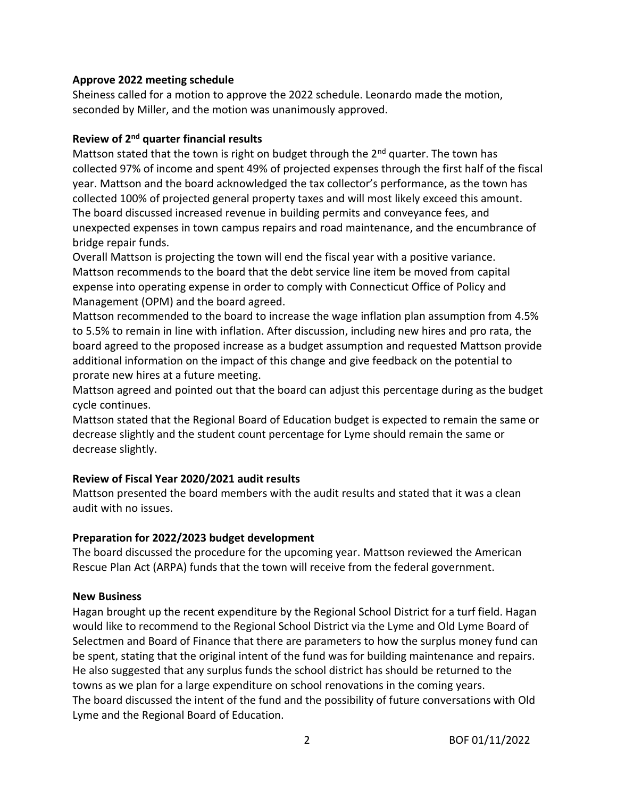### **Approve 2022 meeting schedule**

Sheiness called for a motion to approve the 2022 schedule. Leonardo made the motion, seconded by Miller, and the motion was unanimously approved.

## **Review of 2nd quarter financial results**

Mattson stated that the town is right on budget through the  $2^{nd}$  quarter. The town has collected 97% of income and spent 49% of projected expenses through the first half of the fiscal year. Mattson and the board acknowledged the tax collector's performance, as the town has collected 100% of projected general property taxes and will most likely exceed this amount. The board discussed increased revenue in building permits and conveyance fees, and unexpected expenses in town campus repairs and road maintenance, and the encumbrance of bridge repair funds.

Overall Mattson is projecting the town will end the fiscal year with a positive variance. Mattson recommends to the board that the debt service line item be moved from capital expense into operating expense in order to comply with Connecticut Office of Policy and Management (OPM) and the board agreed.

Mattson recommended to the board to increase the wage inflation plan assumption from 4.5% to 5.5% to remain in line with inflation. After discussion, including new hires and pro rata, the board agreed to the proposed increase as a budget assumption and requested Mattson provide additional information on the impact of this change and give feedback on the potential to prorate new hires at a future meeting.

Mattson agreed and pointed out that the board can adjust this percentage during as the budget cycle continues.

Mattson stated that the Regional Board of Education budget is expected to remain the same or decrease slightly and the student count percentage for Lyme should remain the same or decrease slightly.

## **Review of Fiscal Year 2020/2021 audit results**

Mattson presented the board members with the audit results and stated that it was a clean audit with no issues.

## **Preparation for 2022/2023 budget development**

The board discussed the procedure for the upcoming year. Mattson reviewed the American Rescue Plan Act (ARPA) funds that the town will receive from the federal government.

## **New Business**

Hagan brought up the recent expenditure by the Regional School District for a turf field. Hagan would like to recommend to the Regional School District via the Lyme and Old Lyme Board of Selectmen and Board of Finance that there are parameters to how the surplus money fund can be spent, stating that the original intent of the fund was for building maintenance and repairs. He also suggested that any surplus funds the school district has should be returned to the towns as we plan for a large expenditure on school renovations in the coming years. The board discussed the intent of the fund and the possibility of future conversations with Old Lyme and the Regional Board of Education.

2 BOF 01/11/2022